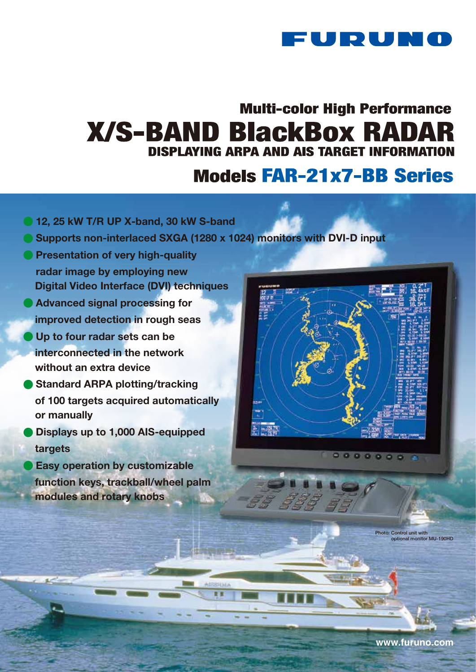

# **Multi-color High Performance X/S-BAND BlackBox RADAR DISPLAYING ARPA AND AIS TARGET INFORMATION**

# **Models FAR-21x7-BB Series**

- **@ 12, 25 kW T/R UP X-band, 30 kW S-band**
- Supports non-interlaced SXGA (1280 x 1024) monitors with DVI-D input
- Presentation of very high-quality radar image by employing new Digital Video Interface (DVI) techniques
- **Advanced signal processing for** improved detection in rough seas
- **Up to four radar sets can be**  interconnected in the network without an extra device
- **Standard ARPA plotting/tracking**  of 100 targets acquired automatically or manually
- Displays up to 1,000 AIS-equipped targets
- **Easy operation by customizable**  function keys, trackball/wheel palm modules and rotary knobs



 $0000000$ 

Photo: Control unit with optional monitor MU-190HD

**www.furuno.com**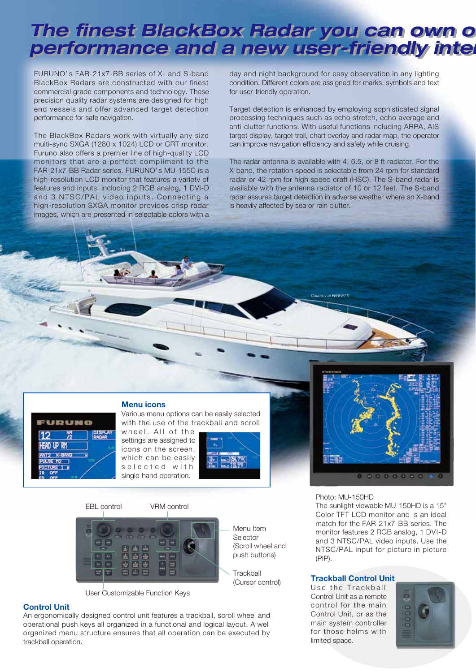# *The finest BlackBox Radar you can own offers under the finest BlackBox Radar you can own of* performance and a new user-friendly inter

FURUNO' s FAR-21x7-BB series of X- and S-band BlackBox Radars are constructed with our finest commercial grade components and technology. These precision quality radar systems are designed for high end vessels and offer advanced target detection performance for safe navigation.

The BlackBox Radars work with virtually any size multi-sync SXGA (1280 x 1024) LCD or CRT monitor. Furuno also offers a premier line of high-quality LCD monitors that are a perfect compliment to the FAR-21x7-BB Radar series. FURUNO' s MU-155C is a high-resolution LCD monitor that features a variety of features and inputs, including 2 RGB analog, 1 DVI-D and 3 NTSC/PAL video inputs. Connecting a high-resolution SXGA monitor provides crisp radar images, which are presented in selectable colors with a

day and night background for easy observation in any lighting condition. Different colors are assigned for marks, symbols and text for user-friendly operation.

Target detection is enhanced by employing sophisticated signal processing techniques such as echo stretch, echo average and anti-clutter functions. With useful functions including ARPA, AIS target display, target trail, chart overlay and radar map, the operator can improve navigation efficiency and safety while cruising.

The radar antenna is available with 4, 6.5, or 8 ft radiator. For the X-band, the rotation speed is selectable from 24 rpm for standard radar or 42 rpm for high speed craft (HSC). The S-band radar is available with the antenna radiator of 10 or 12 feet. The S-band radar assures target detection in adverse weather where an X-band is heavily affected by sea or rain clutter.

*Courtesy of FERRETTI*



### Menu icons

Various menu options can be easily selected with the use of the trackball and scroll

wheel. All of the settings are assigned to icons on the screen, which can be easily selected with single-hand operation.



Menu Item **Selector** 

**Trackball** (Cursor control)

(Scroll wheel and push buttons)

EBL control VRM control



User Customizable Function Keys

# Control Unit

An ergonomically designed control unit features a trackball, scroll wheel and operational push keys all organized in a functional and logical layout. A well organized menu structure ensures that all operation can be executed by trackball operation.



#### Photo: MU-150HD

The sunlight viewable MU-150HD is a 15" Color TFT LCD monitor and is an ideal match for the FAR-21x7-BB series. The monitor features 2 RGB analog, 1 DVI-D and 3 NTSC/PAL video inputs. Use the NTSC/PAL input for picture in picture (PIP).

### Trackball Control Unit

Use the Trackball Control Unit as a remote control for the main Control Unit, or as the main system controller for those helms with limited space.

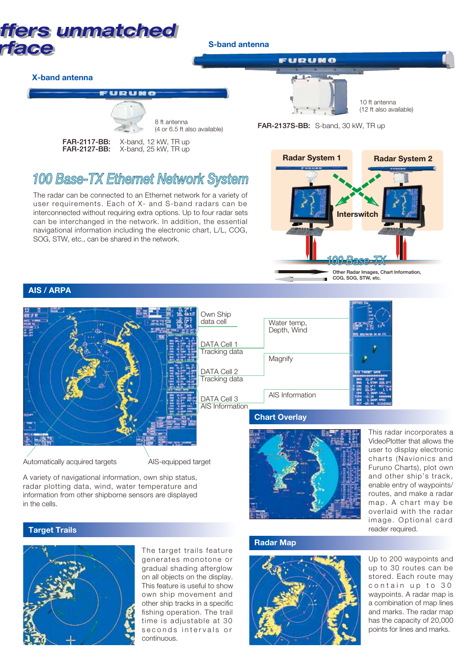

# *100 Base-TX Ethernet Network System*

The radar can be connected to an Ethernet network for a variety of user requirements. Each of X- and S-band radars can be interconnected without requiring extra options. Up to four radar sets can be interchanged in the network. In addition, the essential navigational information including the electronic chart, L/L, COG, SOG, STW, etc., can be shared in the network.



# AIS / ARPA



A variety of navigational information, own ship status, radar plotting data, wind, water temperature and information from other shipborne sensors are displayed in the cells.

# **Target Trails**



The target trails feature generates monotone or gradual shading afterglow on all objects on the display. This feature is useful to show own ship movement and other ship tracks in a specific fishing operation. The trail time is adjustable at 30 seconds intervals or continuous.

### Radar Map



This radar incorporates a VideoPlotter that allows the user to display electronic charts (Navionics and Furuno Charts), plot own and other ship's track, enable entry of waypoints/ routes, and make a radar map. A chart may be overlaid with the radar image. Optional card reader required.

Up to 200 waypoints and up to 30 routes can be stored. Each route may contain up to 30 waypoints. A radar map is a combination of map lines and marks. The radar map has the capacity of 20,000 points for lines and marks.